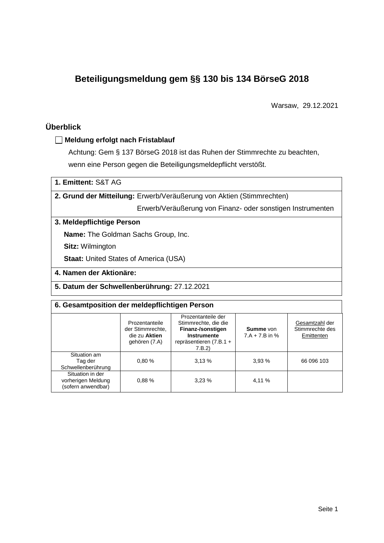# **Beteiligungsmeldung gem §§ 130 bis 134 BörseG 2018**

Warsaw, 29.12.2021

## **Überblick**

## **Meldung erfolgt nach Fristablauf**

Achtung: Gem § 137 BörseG 2018 ist das Ruhen der Stimmrechte zu beachten, wenn eine Person gegen die Beteiligungsmeldepflicht verstößt.

**1. Emittent:** S&T AG

**2. Grund der Mitteilung:** Erwerb/Veräußerung von Aktien (Stimmrechten)

Erwerb/Veräußerung von Finanz- oder sonstigen Instrumenten

### **3. Meldepflichtige Person**

**Name:** The Goldman Sachs Group, Inc.

**Sitz:** Wilmington

**Staat: United States of America (USA)** 

### **4. Namen der Aktionäre:**

**5. Datum der Schwellenberührung:** 27.12.2021

#### **6. Gesamtposition der meldepflichtigen Person**

|                                                              | Prozentanteile<br>der Stimmrechte.<br>die zu Aktien<br>gehören (7.A) | Prozentanteile der<br>Stimmrechte, die die<br>Finanz-/sonstigen<br>Instrumente<br>repräsentieren (7.B.1 +<br>7.B.2 | <b>Summe</b> von<br>$7.A + 7.B$ in % | Gesamtzahl der<br>Stimmrechte des<br>Emittenten |
|--------------------------------------------------------------|----------------------------------------------------------------------|--------------------------------------------------------------------------------------------------------------------|--------------------------------------|-------------------------------------------------|
| Situation am<br>Tag der<br>Schwellenberührung                | 0.80%                                                                | 3,13%                                                                                                              | 3.93%                                | 66 096 103                                      |
| Situation in der<br>vorherigen Meldung<br>(sofern anwendbar) | 0.88%                                                                | 3.23%                                                                                                              | 4,11 %                               |                                                 |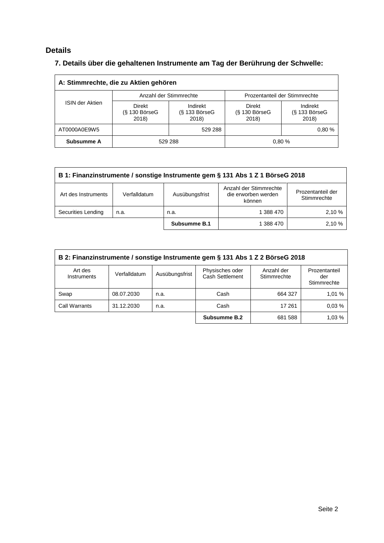## **Details**

# **7. Details über die gehaltenen Instrumente am Tag der Berührung der Schwelle:**

| A: Stimmrechte, die zu Aktien gehören |                                    |                                      |                                    |                                    |  |  |
|---------------------------------------|------------------------------------|--------------------------------------|------------------------------------|------------------------------------|--|--|
|                                       |                                    | Anzahl der Stimmrechte               | Prozentanteil der Stimmrechte      |                                    |  |  |
| <b>ISIN der Aktien</b>                | Direkt<br>$(S$ 130 BörseG<br>2018) | Indirekt<br>$(S$ 133 BörseG<br>2018) | Direkt<br>$(S$ 130 BörseG<br>2018) | Indirekt<br>(§ 133 BörseG<br>2018) |  |  |
| AT0000A0E9W5                          |                                    | 529 288                              |                                    | 0.80%                              |  |  |
| Subsumme A                            |                                    | 529 288                              |                                    | 0.80%                              |  |  |

| B 1: Finanzinstrumente / sonstige Instrumente gem § 131 Abs 1 Z 1 BörseG 2018 |                                                                                                                               |              |           |       |  |
|-------------------------------------------------------------------------------|-------------------------------------------------------------------------------------------------------------------------------|--------------|-----------|-------|--|
| Art des Instruments                                                           | Anzahl der Stimmrechte<br>Prozentanteil der<br>die erworben werden<br>Ausübungsfrist<br>Verfalldatum<br>Stimmrechte<br>können |              |           |       |  |
| Securities Lending                                                            | n.a.                                                                                                                          | n.a.         | 1 388 470 | 2.10% |  |
|                                                                               |                                                                                                                               | Subsumme B.1 | 1 388 470 | 2.10% |  |

| B 2: Finanzinstrumente / sonstige Instrumente gem § 131 Abs 1 Z 2 BörseG 2018 |              |                |                                    |                           |                                     |  |
|-------------------------------------------------------------------------------|--------------|----------------|------------------------------------|---------------------------|-------------------------------------|--|
| Art des<br>Instruments                                                        | Verfalldatum | Ausübungsfrist | Physisches oder<br>Cash Settlement | Anzahl der<br>Stimmrechte | Prozentanteil<br>der<br>Stimmrechte |  |
| Swap                                                                          | 08.07.2030   | n.a.           | Cash                               | 664 327                   | 1,01 %                              |  |
| <b>Call Warrants</b>                                                          | 31.12.2030   | n.a.           | Cash                               | 17 261                    | 0.03%                               |  |
|                                                                               |              |                | Subsumme B.2                       | 681 588                   | 1,03 %                              |  |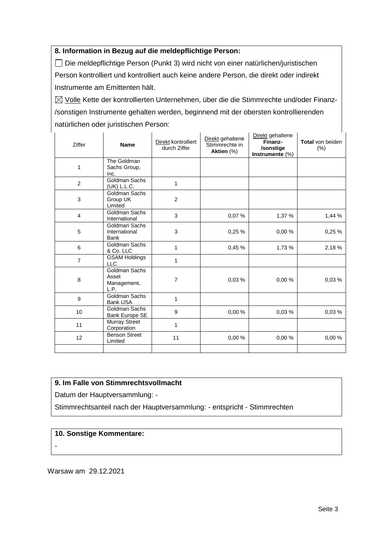## **8. Information in Bezug auf die meldepflichtige Person:**

Die meldepflichtige Person (Punkt 3) wird nicht von einer natürlichen/juristischen Person kontrolliert und kontrolliert auch keine andere Person, die direkt oder indirekt Instrumente am Emittenten hält.

 $\boxtimes$  Volle Kette der kontrollierten Unternehmen, über die die Stimmrechte und/oder Finanz-/sonstigen Instrumente gehalten werden, beginnend mit der obersten kontrollierenden natürlichen oder juristischen Person:

| Ziffer         | <b>Name</b>                                   | Direkt kontrolliert<br>durch Ziffer | Direkt gehaltene<br>Stimmrechte in<br>Aktien (%) | Direkt gehaltene<br>Finanz-<br>/sonstige<br>Instrumente (%) | Total von beiden<br>(% ) |
|----------------|-----------------------------------------------|-------------------------------------|--------------------------------------------------|-------------------------------------------------------------|--------------------------|
| 1              | The Goldman<br>Sachs Group,<br>Inc.           |                                     |                                                  |                                                             |                          |
| 2              | Goldman Sachs<br>(UK) L.L.C.                  | 1                                   |                                                  |                                                             |                          |
| 3              | Goldman Sachs<br>Group UK<br>Limited          | $\overline{c}$                      |                                                  |                                                             |                          |
| $\overline{4}$ | Goldman Sachs<br>International                | 3                                   | 0,07%                                            | 1,37 %                                                      | 1,44 %                   |
| 5              | Goldman Sachs<br>International<br><b>Bank</b> | 3                                   | 0,25%                                            | 0.00%                                                       | 0,25%                    |
| 6              | Goldman Sachs<br>& Co. LLC                    | $\mathbf 1$                         | 0,45 %                                           | 1,73 %                                                      | 2,18%                    |
| $\overline{7}$ | <b>GSAM Holdings</b><br><b>LLC</b>            | 1                                   |                                                  |                                                             |                          |
| 8              | Goldman Sachs<br>Asset<br>Management,<br>L.P. | $\overline{7}$                      | 0,03%                                            | 0,00%                                                       | 0,03%                    |
| 9              | Goldman Sachs<br><b>Bank USA</b>              | $\mathbf{1}$                        |                                                  |                                                             |                          |
| 10             | Goldman Sachs<br>Bank Europe SE               | 9                                   | 0.00%                                            | 0.03%                                                       | 0.03%                    |
| 11             | <b>Murray Street</b><br>Corporation           | 1                                   |                                                  |                                                             |                          |
| 12             | <b>Benson Street</b><br>Limited               | 11                                  | 0,00 %                                           | 0,00%                                                       | 0,00%                    |
|                |                                               |                                     |                                                  |                                                             |                          |

#### **9. Im Falle von Stimmrechtsvollmacht**

Datum der Hauptversammlung: -

Stimmrechtsanteil nach der Hauptversammlung: - entspricht - Stimmrechten

#### **10. Sonstige Kommentare:**

-

Warsaw am 29.12.2021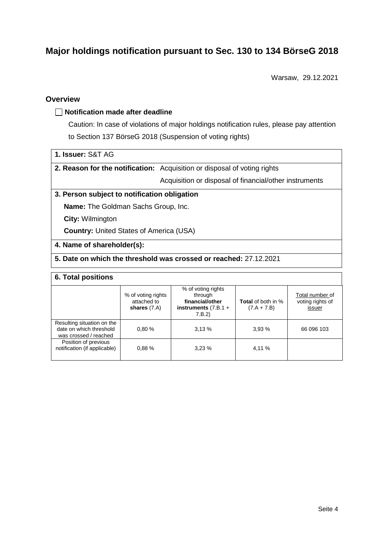# **Major holdings notification pursuant to Sec. 130 to 134 BörseG 2018**

Warsaw, 29.12.2021

## **Overview**

#### **Notification made after deadline**

Caution: In case of violations of major holdings notification rules, please pay attention to Section 137 BörseG 2018 (Suspension of voting rights)

| 1. Issuer: S&T AG |
|-------------------|
|-------------------|

**2. Reason for the notification:** Acquisition or disposal of voting rights

Acquisition or disposal of financial/other instruments

#### **3. Person subject to notification obligation**

**Name:** The Goldman Sachs Group, Inc.

**City:** Wilmington

**Country:** United States of America (USA)

#### **4. Name of shareholder(s):**

### **5. Date on which the threshold was crossed or reached:** 27.12.2021

#### **6. Total positions**

|                                                                                | % of voting rights<br>attached to<br>shares $(7.A)$ | % of voting rights<br>through<br>financial/other<br>instruments $(7.B.1 +$<br>7.B.2 | <b>Total</b> of both in %<br>$(7.A + 7.B)$ | Total number of<br>voting rights of<br>issuer |
|--------------------------------------------------------------------------------|-----------------------------------------------------|-------------------------------------------------------------------------------------|--------------------------------------------|-----------------------------------------------|
| Resulting situation on the<br>date on which threshold<br>was crossed / reached | 0.80%                                               | 3.13%                                                                               | 3.93%                                      | 66 096 103                                    |
| Position of previous<br>notification (if applicable)                           | 0.88%                                               | 3.23%                                                                               | 4,11 %                                     |                                               |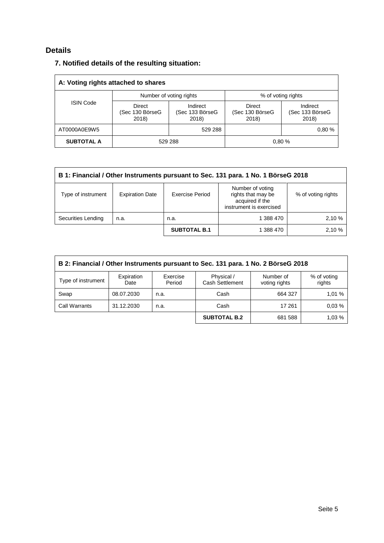## **Details**

| 7. Notified details of the resulting situation: |
|-------------------------------------------------|
|-------------------------------------------------|

| A: Voting rights attached to shares |                                    |                                      |                                    |                                      |  |  |
|-------------------------------------|------------------------------------|--------------------------------------|------------------------------------|--------------------------------------|--|--|
|                                     |                                    | Number of voting rights              | % of voting rights                 |                                      |  |  |
| <b>ISIN Code</b>                    | Direct<br>(Sec 130 BörseG<br>2018) | Indirect<br>(Sec 133 BörseG<br>2018) | Direct<br>(Sec 130 BörseG<br>2018) | Indirect<br>(Sec 133 BörseG<br>2018) |  |  |
| AT0000A0E9W5                        | 529 288                            |                                      |                                    | 0.80%                                |  |  |
| <b>SUBTOTAL A</b>                   |                                    | 529 288                              |                                    | 0.80%                                |  |  |

| B 1: Financial / Other Instruments pursuant to Sec. 131 para. 1 No. 1 BörseG 2018 |                        |                        |                                                                                      |                    |  |
|-----------------------------------------------------------------------------------|------------------------|------------------------|--------------------------------------------------------------------------------------|--------------------|--|
| Type of instrument                                                                | <b>Expiration Date</b> | <b>Exercise Period</b> | Number of voting<br>rights that may be<br>acquired if the<br>instrument is exercised | % of voting rights |  |
| Securities Lending                                                                | n.a.                   | n.a.                   | 1 388 470                                                                            | 2,10 %             |  |
|                                                                                   |                        | <b>SUBTOTAL B.1</b>    | 1 388 470                                                                            | 2,10 %             |  |

| B 2: Financial / Other Instruments pursuant to Sec. 131 para. 1 No. 2 BörseG 2018 |                    |                    |                                      |                            |                       |  |
|-----------------------------------------------------------------------------------|--------------------|--------------------|--------------------------------------|----------------------------|-----------------------|--|
| Type of instrument                                                                | Expiration<br>Date | Exercise<br>Period | Physical /<br><b>Cash Settlement</b> | Number of<br>voting rights | % of voting<br>rights |  |
| Swap                                                                              | 08.07.2030         | n.a.               | Cash                                 | 664 327                    | 1.01%                 |  |
| Call Warrants                                                                     | 31.12.2030         | n.a.               | Cash                                 | 17 261                     | 0.03%                 |  |
|                                                                                   |                    |                    | <b>SUBTOTAL B.2</b>                  | 681 588                    | 1.03%                 |  |